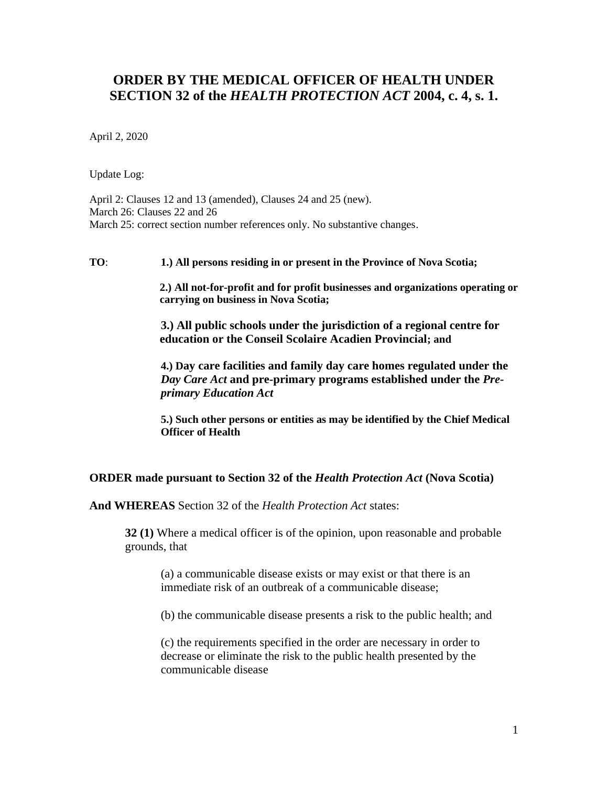## **ORDER BY THE MEDICAL OFFICER OF HEALTH UNDER SECTION 32 of the** *HEALTH PROTECTION ACT* **2004, c. 4, s. 1.**

April 2, 2020

Update Log:

April 2: Clauses 12 and 13 (amended), Clauses 24 and 25 (new). March 26: Clauses 22 and 26 March 25: correct section number references only. No substantive changes.

**TO**: **1.) All persons residing in or present in the Province of Nova Scotia;**

**2.) All not-for-profit and for profit businesses and organizations operating or carrying on business in Nova Scotia;**

**3.) All public schools under the jurisdiction of a regional centre for education or the Conseil Scolaire Acadien Provincial; and**

**4.) Day care facilities and family day care homes regulated under the**  *Day Care Act* **and pre-primary programs established under the** *Preprimary Education Act*

**5.) Such other persons or entities as may be identified by the Chief Medical Officer of Health**

## **ORDER made pursuant to Section 32 of the** *Health Protection Act* **(Nova Scotia)**

**And WHEREAS** Section 32 of the *Health Protection Act* states:

**32 (1)** Where a medical officer is of the opinion, upon reasonable and probable grounds, that

(a) a communicable disease exists or may exist or that there is an immediate risk of an outbreak of a communicable disease;

(b) the communicable disease presents a risk to the public health; and

(c) the requirements specified in the order are necessary in order to decrease or eliminate the risk to the public health presented by the communicable disease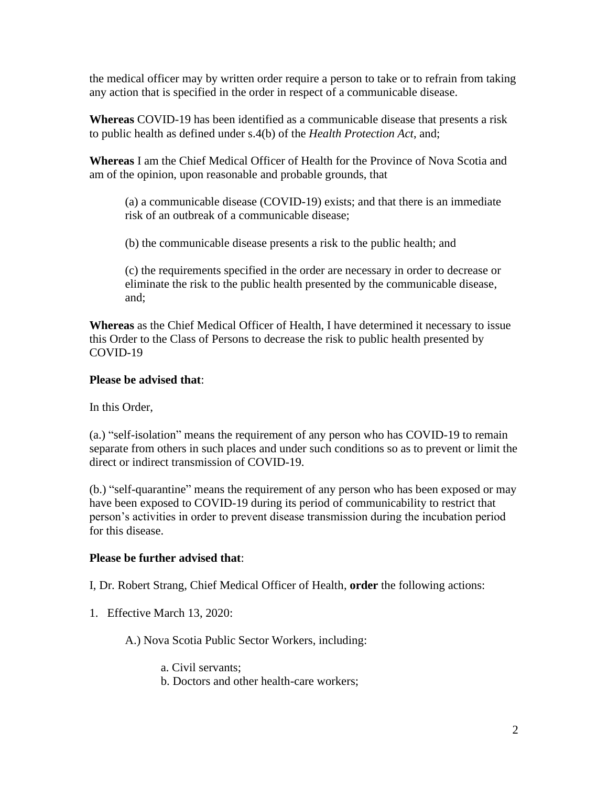the medical officer may by written order require a person to take or to refrain from taking any action that is specified in the order in respect of a communicable disease.

**Whereas** COVID-19 has been identified as a communicable disease that presents a risk to public health as defined under s.4(b) of the *Health Protection Act*, and;

**Whereas** I am the Chief Medical Officer of Health for the Province of Nova Scotia and am of the opinion, upon reasonable and probable grounds, that

(a) a communicable disease (COVID-19) exists; and that there is an immediate risk of an outbreak of a communicable disease;

(b) the communicable disease presents a risk to the public health; and

(c) the requirements specified in the order are necessary in order to decrease or eliminate the risk to the public health presented by the communicable disease, and;

**Whereas** as the Chief Medical Officer of Health, I have determined it necessary to issue this Order to the Class of Persons to decrease the risk to public health presented by COVID-19

## **Please be advised that**:

In this Order,

(a.) "self-isolation" means the requirement of any person who has COVID-19 to remain separate from others in such places and under such conditions so as to prevent or limit the direct or indirect transmission of COVID-19.

(b.) "self-quarantine" means the requirement of any person who has been exposed or may have been exposed to COVID-19 during its period of communicability to restrict that person's activities in order to prevent disease transmission during the incubation period for this disease.

## **Please be further advised that**:

I, Dr. Robert Strang, Chief Medical Officer of Health, **order** the following actions:

1. Effective March 13, 2020:

A.) Nova Scotia Public Sector Workers, including:

a. Civil servants;

b. Doctors and other health-care workers;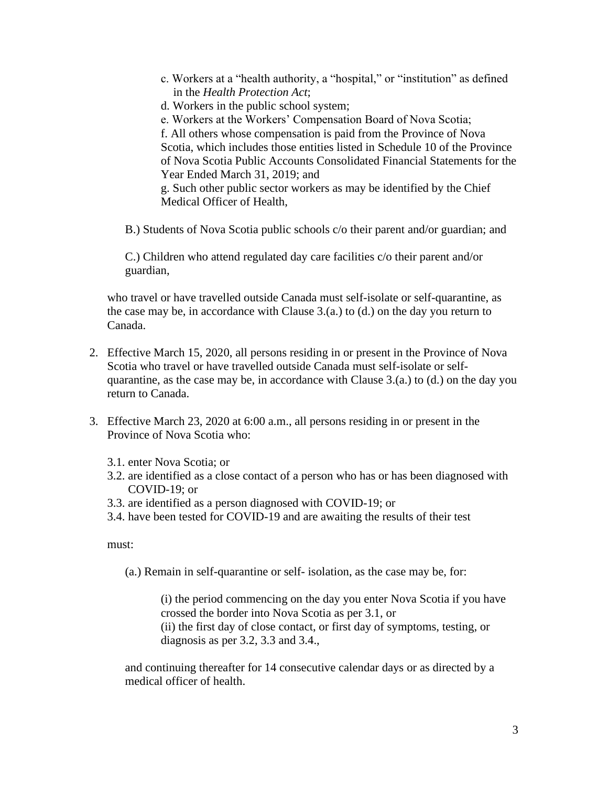- c. Workers at a "health authority, a "hospital," or "institution" as defined in the *Health Protection Act*;
- d. Workers in the public school system;

e. Workers at the Workers' Compensation Board of Nova Scotia; f. All others whose compensation is paid from the Province of Nova Scotia, which includes those entities listed in Schedule 10 of the Province of Nova Scotia Public Accounts Consolidated Financial Statements for the Year Ended March 31, 2019; and g. Such other public sector workers as may be identified by the Chief

Medical Officer of Health,

B.) Students of Nova Scotia public schools c/o their parent and/or guardian; and

C.) Children who attend regulated day care facilities c/o their parent and/or guardian,

who travel or have travelled outside Canada must self-isolate or self-quarantine, as the case may be, in accordance with Clause 3.(a.) to (d.) on the day you return to Canada.

- 2. Effective March 15, 2020, all persons residing in or present in the Province of Nova Scotia who travel or have travelled outside Canada must self-isolate or selfquarantine, as the case may be, in accordance with Clause 3.(a.) to (d.) on the day you return to Canada.
- 3. Effective March 23, 2020 at 6:00 a.m., all persons residing in or present in the Province of Nova Scotia who:
	- 3.1. enter Nova Scotia; or
	- 3.2. are identified as a close contact of a person who has or has been diagnosed with COVID-19; or
	- 3.3. are identified as a person diagnosed with COVID-19; or
	- 3.4. have been tested for COVID-19 and are awaiting the results of their test

must:

(a.) Remain in self-quarantine or self- isolation, as the case may be, for:

(i) the period commencing on the day you enter Nova Scotia if you have crossed the border into Nova Scotia as per 3.1, or (ii) the first day of close contact, or first day of symptoms, testing, or diagnosis as per 3.2, 3.3 and 3.4.,

and continuing thereafter for 14 consecutive calendar days or as directed by a medical officer of health.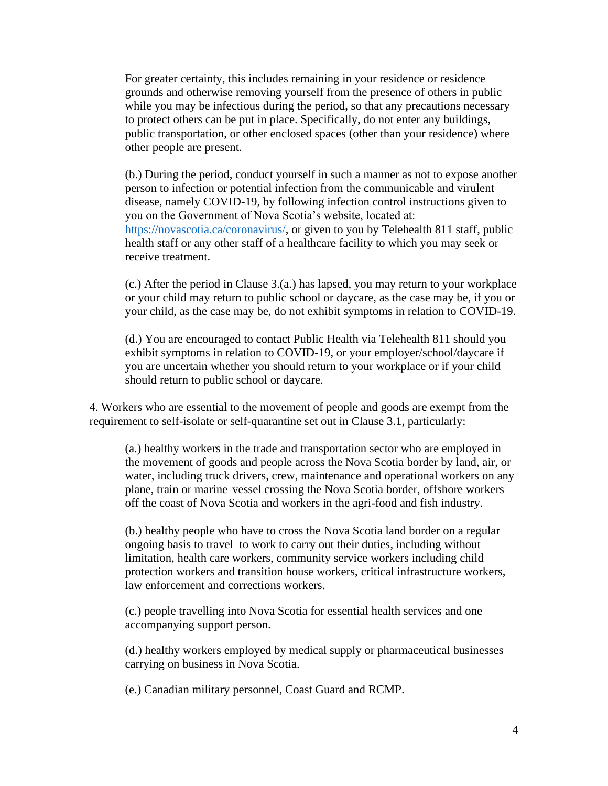For greater certainty, this includes remaining in your residence or residence grounds and otherwise removing yourself from the presence of others in public while you may be infectious during the period, so that any precautions necessary to protect others can be put in place. Specifically, do not enter any buildings, public transportation, or other enclosed spaces (other than your residence) where other people are present.

(b.) During the period, conduct yourself in such a manner as not to expose another person to infection or potential infection from the communicable and virulent disease, namely COVID-19, by following infection control instructions given to you on the Government of Nova Scotia's website, located at: [https://novascotia.ca/coronavirus/,](https://novascotia.ca/coronavirus/) or given to you by Telehealth 811 staff, public health staff or any other staff of a healthcare facility to which you may seek or receive treatment.

(c.) After the period in Clause 3.(a.) has lapsed, you may return to your workplace or your child may return to public school or daycare, as the case may be, if you or your child, as the case may be, do not exhibit symptoms in relation to COVID-19.

(d.) You are encouraged to contact Public Health via Telehealth 811 should you exhibit symptoms in relation to COVID-19, or your employer/school/daycare if you are uncertain whether you should return to your workplace or if your child should return to public school or daycare.

4. Workers who are essential to the movement of people and goods are exempt from the requirement to self-isolate or self-quarantine set out in Clause 3.1, particularly:

(a.) healthy workers in the trade and transportation sector who are employed in the movement of goods and people across the Nova Scotia border by land, air, or water, including truck drivers, crew, maintenance and operational workers on any plane, train or marine vessel crossing the Nova Scotia border, offshore workers off the coast of Nova Scotia and workers in the agri-food and fish industry.

(b.) healthy people who have to cross the Nova Scotia land border on a regular ongoing basis to travel to work to carry out their duties, including without limitation, health care workers, community service workers including child protection workers and transition house workers, critical infrastructure workers, law enforcement and corrections workers.

(c.) people travelling into Nova Scotia for essential health services and one accompanying support person.

(d.) healthy workers employed by medical supply or pharmaceutical businesses carrying on business in Nova Scotia.

(e.) Canadian military personnel, Coast Guard and RCMP.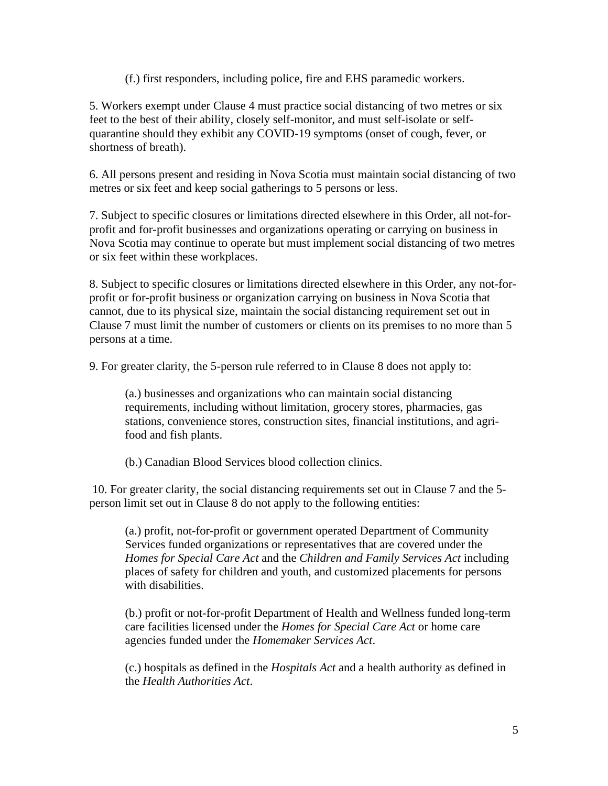(f.) first responders, including police, fire and EHS paramedic workers.

5. Workers exempt under Clause 4 must practice social distancing of two metres or six feet to the best of their ability, closely self-monitor, and must self-isolate or selfquarantine should they exhibit any COVID-19 symptoms (onset of cough, fever, or shortness of breath).

6. All persons present and residing in Nova Scotia must maintain social distancing of two metres or six feet and keep social gatherings to 5 persons or less.

7. Subject to specific closures or limitations directed elsewhere in this Order, all not-forprofit and for-profit businesses and organizations operating or carrying on business in Nova Scotia may continue to operate but must implement social distancing of two metres or six feet within these workplaces.

8. Subject to specific closures or limitations directed elsewhere in this Order, any not-forprofit or for-profit business or organization carrying on business in Nova Scotia that cannot, due to its physical size, maintain the social distancing requirement set out in Clause 7 must limit the number of customers or clients on its premises to no more than 5 persons at a time.

9. For greater clarity, the 5-person rule referred to in Clause 8 does not apply to:

(a.) businesses and organizations who can maintain social distancing requirements, including without limitation, grocery stores, pharmacies, gas stations, convenience stores, construction sites, financial institutions, and agrifood and fish plants.

(b.) Canadian Blood Services blood collection clinics.

10. For greater clarity, the social distancing requirements set out in Clause 7 and the 5 person limit set out in Clause 8 do not apply to the following entities:

(a.) profit, not-for-profit or government operated Department of Community Services funded organizations or representatives that are covered under the *Homes for Special Care Act* and the *Children and Family Services Act* including places of safety for children and youth, and customized placements for persons with disabilities.

(b.) profit or not-for-profit Department of Health and Wellness funded long-term care facilities licensed under the *Homes for Special Care Act* or home care agencies funded under the *Homemaker Services Act*.

(c.) hospitals as defined in the *Hospitals Act* and a health authority as defined in the *Health Authorities Act*.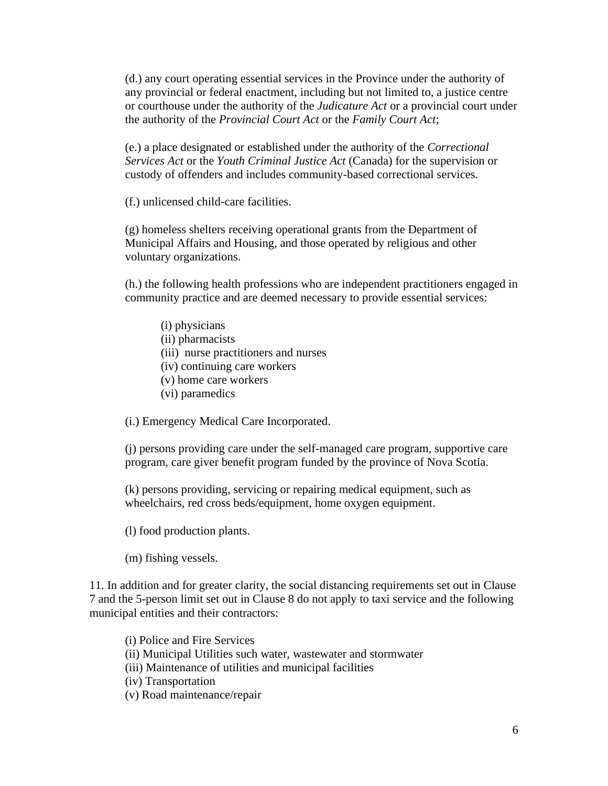(d.) any court operating essential services in the Province under the authority of any provincial or federal enactment, including but not limited to, a justice centre or courthouse under the authority of the *Judicature Act* or a provincial court under the authority of the *Provincial Court Act* or the *Family Court Act*;

(e.) a place designated or established under the authority of the *Correctional Services Act* or the *Youth Criminal Justice Act* (Canada) for the supervision or custody of offenders and includes community-based correctional services.

(f.) unlicensed child-care facilities.

(g) homeless shelters receiving operational grants from the Department of Municipal Affairs and Housing, and those operated by religious and other voluntary organizations.

(h.) the following health professions who are independent practitioners engaged in community practice and are deemed necessary to provide essential services:

- (i) physicians
- (ii) pharmacists
- (iii) nurse practitioners and nurses
- (iv) continuing care workers
- (v) home care workers
- (vi) paramedics

(i.) Emergency Medical Care Incorporated.

(j) persons providing care under the self-managed care program, supportive care program, care giver benefit program funded by the province of Nova Scotia.

(k) persons providing, servicing or repairing medical equipment, such as wheelchairs, red cross beds/equipment, home oxygen equipment.

(l) food production plants.

(m) fishing vessels.

11. In addition and for greater clarity, the social distancing requirements set out in Clause 7 and the 5-person limit set out in Clause 8 do not apply to taxi service and the following municipal entities and their contractors:

(i) Police and Fire Services (ii) Municipal Utilities such water, wastewater and stormwater (iii) Maintenance of utilities and municipal facilities (iv) Transportation (v) Road maintenance/repair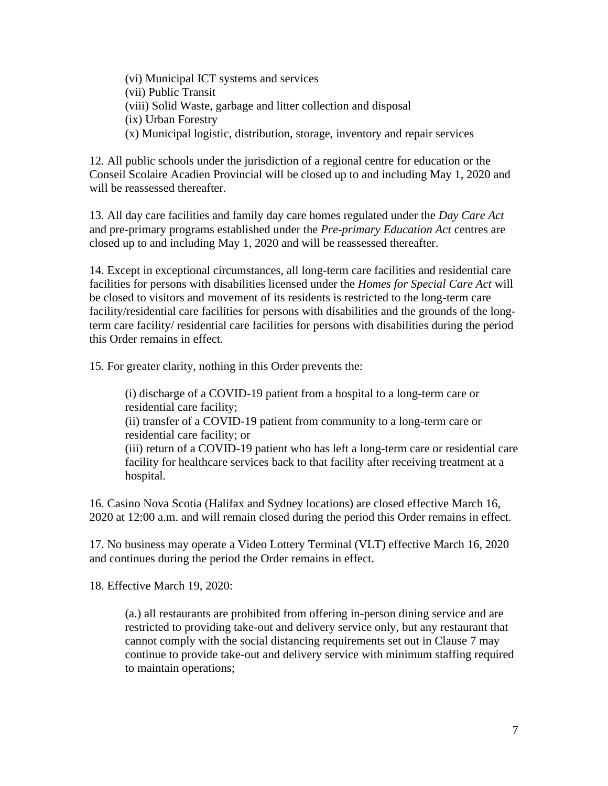(vi) Municipal ICT systems and services (vii) Public Transit (viii) Solid Waste, garbage and litter collection and disposal (ix) Urban Forestry (x) Municipal logistic, distribution, storage, inventory and repair services

12. All public schools under the jurisdiction of a regional centre for education or the Conseil Scolaire Acadien Provincial will be closed up to and including May 1, 2020 and will be reassessed thereafter.

13. All day care facilities and family day care homes regulated under the *Day Care Act* and pre-primary programs established under the *Pre-primary Education Act* centres are closed up to and including May 1, 2020 and will be reassessed thereafter.

14. Except in exceptional circumstances, all long-term care facilities and residential care facilities for persons with disabilities licensed under the *Homes for Special Care Act* will be closed to visitors and movement of its residents is restricted to the long-term care facility/residential care facilities for persons with disabilities and the grounds of the longterm care facility/ residential care facilities for persons with disabilities during the period this Order remains in effect.

15. For greater clarity, nothing in this Order prevents the:

(i) discharge of a COVID-19 patient from a hospital to a long-term care or residential care facility; (ii) transfer of a COVID-19 patient from community to a long-term care or residential care facility; or (iii) return of a COVID-19 patient who has left a long-term care or residential care facility for healthcare services back to that facility after receiving treatment at a hospital.

16. Casino Nova Scotia (Halifax and Sydney locations) are closed effective March 16, 2020 at 12:00 a.m. and will remain closed during the period this Order remains in effect.

17. No business may operate a Video Lottery Terminal (VLT) effective March 16, 2020 and continues during the period the Order remains in effect.

18. Effective March 19, 2020:

(a.) all restaurants are prohibited from offering in-person dining service and are restricted to providing take-out and delivery service only, but any restaurant that cannot comply with the social distancing requirements set out in Clause 7 may continue to provide take-out and delivery service with minimum staffing required to maintain operations;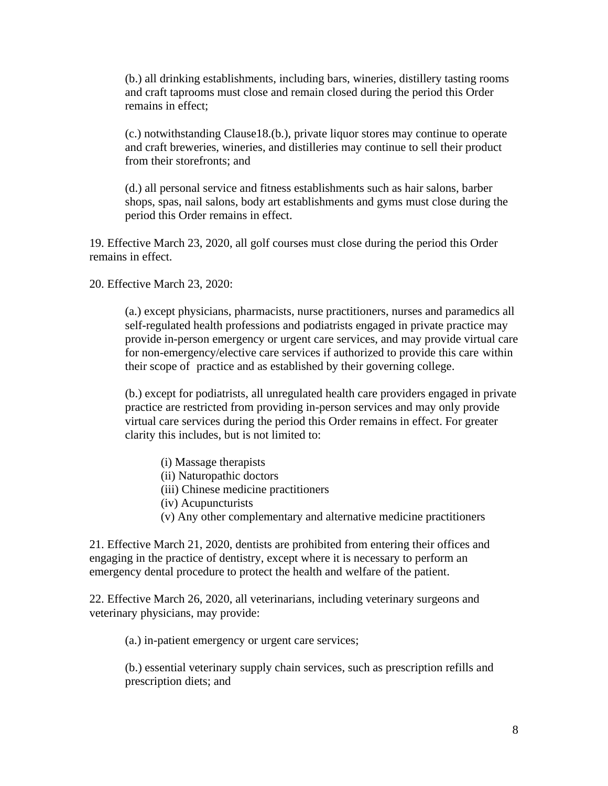(b.) all drinking establishments, including bars, wineries, distillery tasting rooms and craft taprooms must close and remain closed during the period this Order remains in effect;

(c.) notwithstanding Clause18.(b.), private liquor stores may continue to operate and craft breweries, wineries, and distilleries may continue to sell their product from their storefronts; and

(d.) all personal service and fitness establishments such as hair salons, barber shops, spas, nail salons, body art establishments and gyms must close during the period this Order remains in effect.

19. Effective March 23, 2020, all golf courses must close during the period this Order remains in effect.

20. Effective March 23, 2020:

(a.) except physicians, pharmacists, nurse practitioners, nurses and paramedics all self-regulated health professions and podiatrists engaged in private practice may provide in-person emergency or urgent care services, and may provide virtual care for non-emergency/elective care services if authorized to provide this care within their scope of practice and as established by their governing college.

(b.) except for podiatrists, all unregulated health care providers engaged in private practice are restricted from providing in-person services and may only provide virtual care services during the period this Order remains in effect. For greater clarity this includes, but is not limited to:

- (i) Massage therapists
- (ii) Naturopathic doctors
- (iii) Chinese medicine practitioners
- (iv) Acupuncturists
- (v) Any other complementary and alternative medicine practitioners

21. Effective March 21, 2020, dentists are prohibited from entering their offices and engaging in the practice of dentistry, except where it is necessary to perform an emergency dental procedure to protect the health and welfare of the patient.

22. Effective March 26, 2020, all veterinarians, including veterinary surgeons and veterinary physicians, may provide:

(a.) in-patient emergency or urgent care services;

(b.) essential veterinary supply chain services, such as prescription refills and prescription diets; and